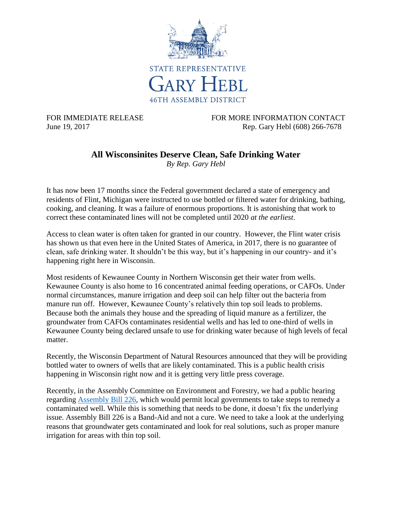

FOR IMMEDIATE RELEASE FOR MORE INFORMATION CONTACT June 19, 2017 Rep. Gary Hebl (608) 266-7678

## **All Wisconsinites Deserve Clean, Safe Drinking Water**

*By Rep. Gary Hebl*

It has now been 17 months since the Federal government declared a state of emergency and residents of Flint, Michigan were instructed to use bottled or filtered water for drinking, bathing, cooking, and cleaning. It was a failure of enormous proportions. It is astonishing that work to correct these contaminated lines will not be completed until 2020 *at the earliest*.

Access to clean water is often taken for granted in our country. However, the Flint water crisis has shown us that even here in the United States of America, in 2017, there is no guarantee of clean, safe drinking water. It shouldn't be this way, but it's happening in our country- and it's happening right here in Wisconsin.

Most residents of Kewaunee County in Northern Wisconsin get their water from wells. Kewaunee County is also home to 16 concentrated animal feeding operations, or CAFOs. Under normal circumstances, manure irrigation and deep soil can help filter out the bacteria from manure run off. However, Kewaunee County's relatively thin top soil leads to problems. Because both the animals they house and the spreading of liquid manure as a fertilizer, the groundwater from CAFOs contaminates residential wells and has led to one-third of wells in Kewaunee County being declared unsafe to use for drinking water because of high levels of fecal matter.

Recently, the Wisconsin Department of Natural Resources announced that they will be providing bottled water to owners of wells that are likely contaminated. This is a public health crisis happening in Wisconsin right now and it is getting very little press coverage.

Recently, in the Assembly Committee on Environment and Forestry, we had a public hearing regarding [Assembly Bill 226,](http://docs.legis.wisconsin.gov/2017/proposals/reg/asm/bill/ab226) which would permit local governments to take steps to remedy a contaminated well. While this is something that needs to be done, it doesn't fix the underlying issue. Assembly Bill 226 is a Band-Aid and not a cure. We need to take a look at the underlying reasons that groundwater gets contaminated and look for real solutions, such as proper manure irrigation for areas with thin top soil.